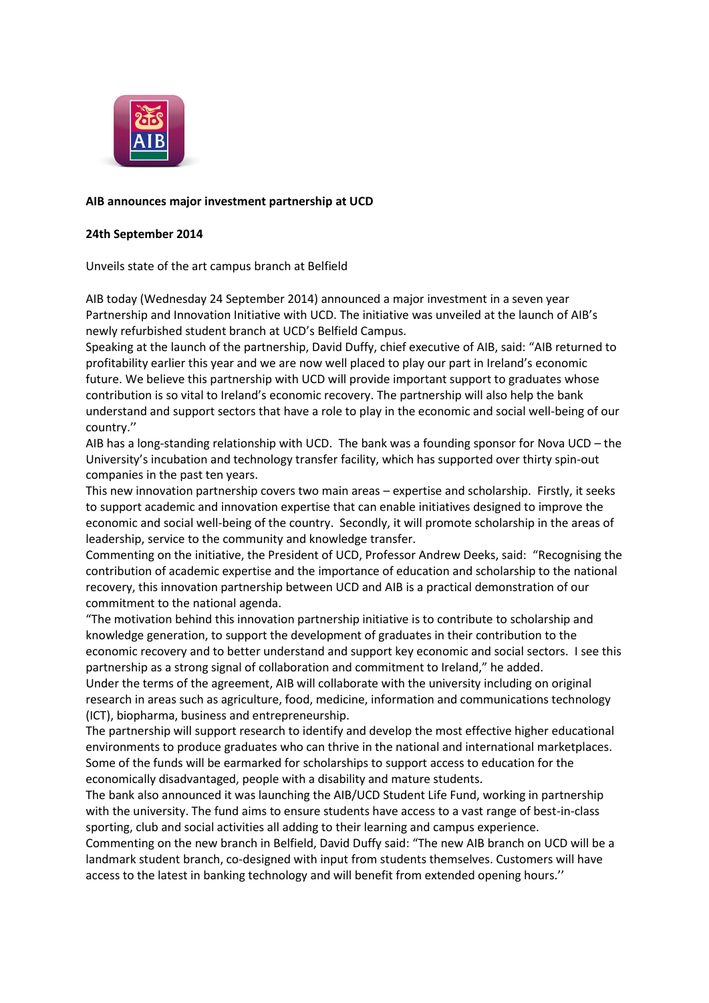

## **AIB announces major investment partnership at UCD**

## **24th September 2014**

Unveils state of the art campus branch at Belfield

AIB today (Wednesday 24 September 2014) announced a major investment in a seven year Partnership and Innovation Initiative with UCD. The initiative was unveiled at the launch of AIB's newly refurbished student branch at UCD's Belfield Campus.

Speaking at the launch of the partnership, David Duffy, chief executive of AIB, said: "AIB returned to profitability earlier this year and we are now well placed to play our part in Ireland's economic future. We believe this partnership with UCD will provide important support to graduates whose contribution is so vital to Ireland's economic recovery. The partnership will also help the bank understand and support sectors that have a role to play in the economic and social well-being of our country.''

AIB has a long-standing relationship with UCD. The bank was a founding sponsor for Nova UCD – the University's incubation and technology transfer facility, which has supported over thirty spin-out companies in the past ten years.

This new innovation partnership covers two main areas – expertise and scholarship. Firstly, it seeks to support academic and innovation expertise that can enable initiatives designed to improve the economic and social well-being of the country. Secondly, it will promote scholarship in the areas of leadership, service to the community and knowledge transfer.

Commenting on the initiative, the President of UCD, Professor Andrew Deeks, said: "Recognising the contribution of academic expertise and the importance of education and scholarship to the national recovery, this innovation partnership between UCD and AIB is a practical demonstration of our commitment to the national agenda.

"The motivation behind this innovation partnership initiative is to contribute to scholarship and knowledge generation, to support the development of graduates in their contribution to the economic recovery and to better understand and support key economic and social sectors. I see this partnership as a strong signal of collaboration and commitment to Ireland," he added.

Under the terms of the agreement, AIB will collaborate with the university including on original research in areas such as agriculture, food, medicine, information and communications technology (ICT), biopharma, business and entrepreneurship.

The partnership will support research to identify and develop the most effective higher educational environments to produce graduates who can thrive in the national and international marketplaces. Some of the funds will be earmarked for scholarships to support access to education for the economically disadvantaged, people with a disability and mature students.

The bank also announced it was launching the AIB/UCD Student Life Fund, working in partnership with the university. The fund aims to ensure students have access to a vast range of best-in-class sporting, club and social activities all adding to their learning and campus experience.

Commenting on the new branch in Belfield, David Duffy said: "The new AIB branch on UCD will be a landmark student branch, co-designed with input from students themselves. Customers will have access to the latest in banking technology and will benefit from extended opening hours.''